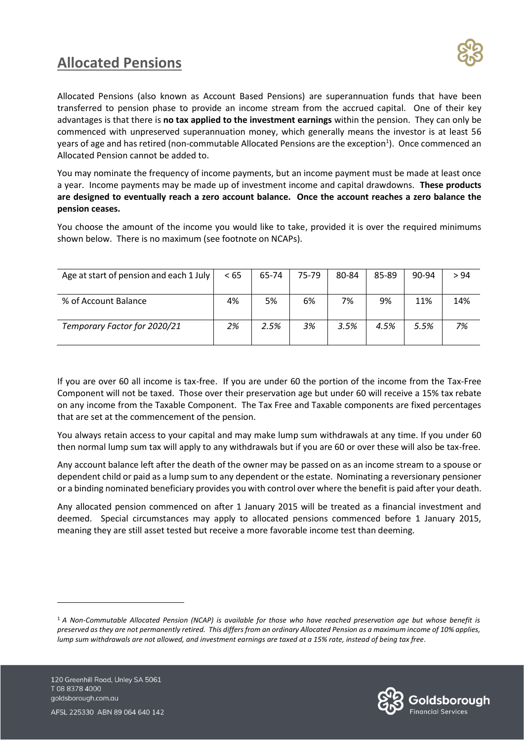## **Allocated Pensions**



Allocated Pensions (also known as Account Based Pensions) are superannuation funds that have been transferred to pension phase to provide an income stream from the accrued capital. One of their key advantages is that there is **no tax applied to the investment earnings** within the pension. They can only be commenced with unpreserved superannuation money, which generally means the investor is at least 56 years of age and has retired (non-commutable Allocated Pensions are the exception<sup>1</sup>). Once commenced an Allocated Pension cannot be added to.

You may nominate the frequency of income payments, but an income payment must be made at least once a year. Income payments may be made up of investment income and capital drawdowns. **These products are designed to eventually reach a zero account balance. Once the account reaches a zero balance the pension ceases.**

You choose the amount of the income you would like to take, provided it is over the required minimums shown below. There is no maximum (see footnote on NCAPs).

| Age at start of pension and each 1 July | < 65 | 65-74 | 75-79 | 80-84 | 85-89 | 90-94 | > 94 |
|-----------------------------------------|------|-------|-------|-------|-------|-------|------|
|                                         |      |       |       |       |       |       |      |
| % of Account Balance                    | 4%   | 5%    | 6%    | 7%    | 9%    | 11%   | 14%  |
| Temporary Factor for 2020/21            | 2%   | 2.5%  | 3%    | 3.5%  | 4.5%  | 5.5%  | 7%   |

If you are over 60 all income is tax-free. If you are under 60 the portion of the income from the Tax-Free Component will not be taxed. Those over their preservation age but under 60 will receive a 15% tax rebate on any income from the Taxable Component. The Tax Free and Taxable components are fixed percentages that are set at the commencement of the pension.

You always retain access to your capital and may make lump sum withdrawals at any time. If you under 60 then normal lump sum tax will apply to any withdrawals but if you are 60 or over these will also be tax-free.

Any account balance left after the death of the owner may be passed on as an income stream to a spouse or dependent child or paid as a lump sum to any dependent or the estate. Nominating a reversionary pensioner or a binding nominated beneficiary provides you with control over where the benefit is paid after your death.

Any allocated pension commenced on after 1 January 2015 will be treated as a financial investment and deemed. Special circumstances may apply to allocated pensions commenced before 1 January 2015, meaning they are still asset tested but receive a more favorable income test than deeming.



<sup>1</sup> *A Non-Commutable Allocated Pension (NCAP) is available for those who have reached preservation age but whose benefit is preserved as they are not permanently retired. This differs from an ordinary Allocated Pension as a maximum income of 10% applies, lump sum withdrawals are not allowed, and investment earnings are taxed at a 15% rate, instead of being tax free.*